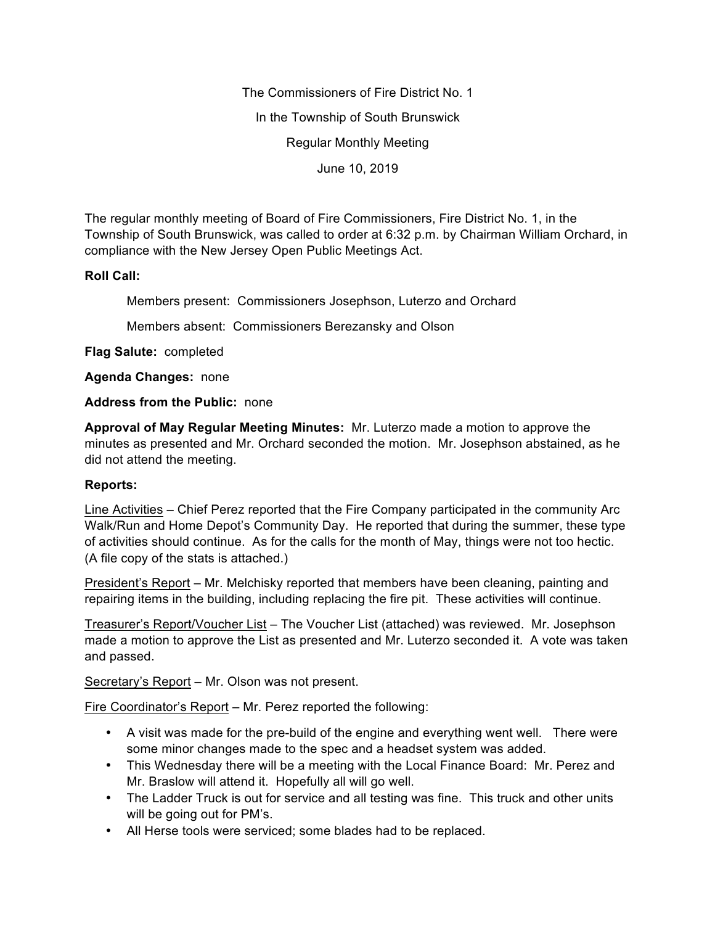The Commissioners of Fire District No. 1

In the Township of South Brunswick

Regular Monthly Meeting

June 10, 2019

The regular monthly meeting of Board of Fire Commissioners, Fire District No. 1, in the Township of South Brunswick, was called to order at 6:32 p.m. by Chairman William Orchard, in compliance with the New Jersey Open Public Meetings Act.

## **Roll Call:**

Members present: Commissioners Josephson, Luterzo and Orchard

Members absent: Commissioners Berezansky and Olson

**Flag Salute:** completed

**Agenda Changes:** none

## **Address from the Public:** none

**Approval of May Regular Meeting Minutes:** Mr. Luterzo made a motion to approve the minutes as presented and Mr. Orchard seconded the motion. Mr. Josephson abstained, as he did not attend the meeting.

## **Reports:**

Line Activities – Chief Perez reported that the Fire Company participated in the community Arc Walk/Run and Home Depot's Community Day. He reported that during the summer, these type of activities should continue. As for the calls for the month of May, things were not too hectic. (A file copy of the stats is attached.)

President's Report – Mr. Melchisky reported that members have been cleaning, painting and repairing items in the building, including replacing the fire pit. These activities will continue.

Treasurer's Report/Voucher List – The Voucher List (attached) was reviewed. Mr. Josephson made a motion to approve the List as presented and Mr. Luterzo seconded it. A vote was taken and passed.

Secretary's Report – Mr. Olson was not present.

Fire Coordinator's Report – Mr. Perez reported the following:

- A visit was made for the pre-build of the engine and everything went well. There were some minor changes made to the spec and a headset system was added.
- This Wednesday there will be a meeting with the Local Finance Board: Mr. Perez and Mr. Braslow will attend it. Hopefully all will go well.
- The Ladder Truck is out for service and all testing was fine. This truck and other units will be going out for PM's.
- All Herse tools were serviced; some blades had to be replaced.